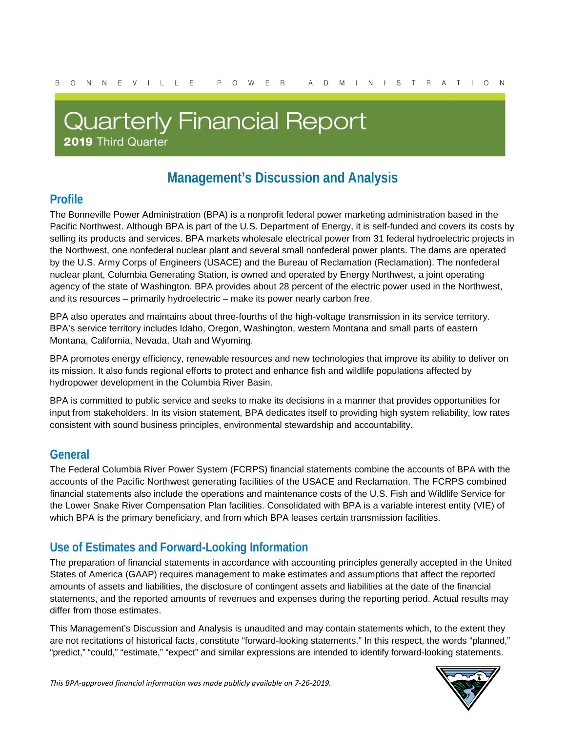# **Quarterly Financial Report** 2019 Third Quarter

# **Management's Discussion and Analysis**

### **Profile**

The Bonneville Power Administration (BPA) is a nonprofit federal power marketing administration based in the Pacific Northwest. Although BPA is part of the U.S. Department of Energy, it is self-funded and covers its costs by selling its products and services. BPA markets wholesale electrical power from 31 federal hydroelectric projects in the Northwest, one nonfederal nuclear plant and several small nonfederal power plants. The dams are operated by the U.S. Army Corps of Engineers (USACE) and the Bureau of Reclamation (Reclamation). The nonfederal nuclear plant, Columbia Generating Station, is owned and operated by Energy Northwest, a joint operating agency of the state of Washington. BPA provides about 28 percent of the electric power used in the Northwest, and its resources – primarily hydroelectric – make its power nearly carbon free.

BPA also operates and maintains about three-fourths of the high-voltage transmission in its service territory. BPA's service territory includes Idaho, Oregon, Washington, western Montana and small parts of eastern Montana, California, Nevada, Utah and Wyoming.

BPA promotes energy efficiency, renewable resources and new technologies that improve its ability to deliver on its mission. It also funds regional efforts to protect and enhance fish and wildlife populations affected by hydropower development in the Columbia River Basin.

BPA is committed to public service and seeks to make its decisions in a manner that provides opportunities for input from stakeholders. In its vision statement, BPA dedicates itself to providing high system reliability, low rates consistent with sound business principles, environmental stewardship and accountability.

### **General**

The Federal Columbia River Power System (FCRPS) financial statements combine the accounts of BPA with the accounts of the Pacific Northwest generating facilities of the USACE and Reclamation. The FCRPS combined financial statements also include the operations and maintenance costs of the U.S. Fish and Wildlife Service for the Lower Snake River Compensation Plan facilities. Consolidated with BPA is a variable interest entity (VIE) of which BPA is the primary beneficiary, and from which BPA leases certain transmission facilities.

### **Use of Estimates and Forward-Looking Information**

The preparation of financial statements in accordance with accounting principles generally accepted in the United States of America (GAAP) requires management to make estimates and assumptions that affect the reported amounts of assets and liabilities, the disclosure of contingent assets and liabilities at the date of the financial statements, and the reported amounts of revenues and expenses during the reporting period. Actual results may differ from those estimates.

This Management's Discussion and Analysis is unaudited and may contain statements which, to the extent they are not recitations of historical facts, constitute "forward-looking statements." In this respect, the words "planned," "predict," "could," "estimate," "expect" and similar expressions are intended to identify forward-looking statements.

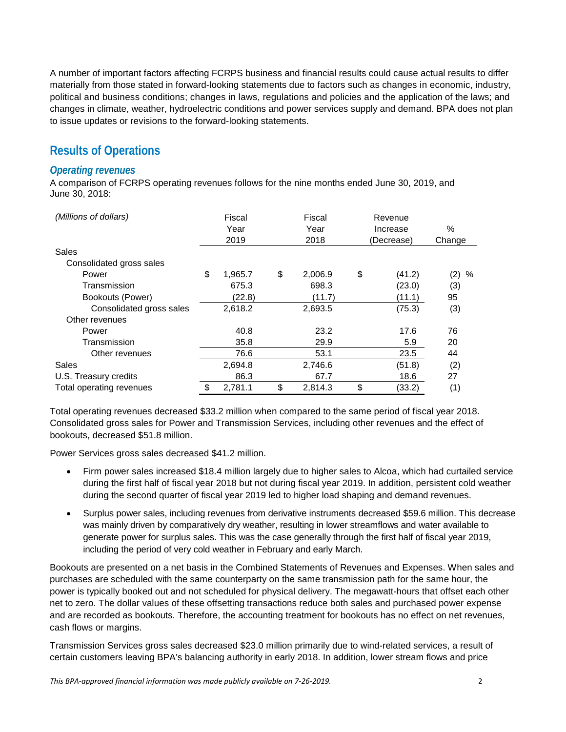A number of important factors affecting FCRPS business and financial results could cause actual results to differ materially from those stated in forward-looking statements due to factors such as changes in economic, industry, political and business conditions; changes in laws, regulations and policies and the application of the laws; and changes in climate, weather, hydroelectric conditions and power services supply and demand. BPA does not plan to issue updates or revisions to the forward-looking statements.

### **Results of Operations**

#### *Operating revenues*

A comparison of FCRPS operating revenues follows for the nine months ended June 30, 2019, and June 30, 2018:

| (Millions of dollars)    |    | Fiscal  |    | Fiscal  |    | Revenue    |          |
|--------------------------|----|---------|----|---------|----|------------|----------|
|                          |    | Year    |    | Year    |    | Increase   | %        |
|                          |    | 2019    |    | 2018    |    | (Decrease) | Change   |
| Sales                    |    |         |    |         |    |            |          |
| Consolidated gross sales |    |         |    |         |    |            |          |
| Power                    | \$ | 1,965.7 | \$ | 2,006.9 | \$ | (41.2)     | (2)<br>% |
| Transmission             |    | 675.3   |    | 698.3   |    | (23.0)     | (3)      |
| Bookouts (Power)         |    | (22.8)  |    | (11.7)  |    | (11.1)     | 95       |
| Consolidated gross sales |    | 2,618.2 |    | 2,693.5 |    | (75.3)     | (3)      |
| Other revenues           |    |         |    |         |    |            |          |
| Power                    |    | 40.8    |    | 23.2    |    | 17.6       | 76       |
| Transmission             |    | 35.8    |    | 29.9    |    | 5.9        | 20       |
| Other revenues           |    | 76.6    |    | 53.1    |    | 23.5       | 44       |
| Sales                    |    | 2,694.8 |    | 2,746.6 |    | (51.8)     | (2)      |
| U.S. Treasury credits    |    | 86.3    |    | 67.7    |    | 18.6       | 27       |
| Total operating revenues | \$ | 2.781.1 | \$ | 2.814.3 | \$ | (33.2)     | (1)      |

Total operating revenues decreased \$33.2 million when compared to the same period of fiscal year 2018. Consolidated gross sales for Power and Transmission Services, including other revenues and the effect of bookouts, decreased \$51.8 million.

Power Services gross sales decreased \$41.2 million.

- Firm power sales increased \$18.4 million largely due to higher sales to Alcoa, which had curtailed service during the first half of fiscal year 2018 but not during fiscal year 2019. In addition, persistent cold weather during the second quarter of fiscal year 2019 led to higher load shaping and demand revenues.
- Surplus power sales, including revenues from derivative instruments decreased \$59.6 million. This decrease was mainly driven by comparatively dry weather, resulting in lower streamflows and water available to generate power for surplus sales. This was the case generally through the first half of fiscal year 2019, including the period of very cold weather in February and early March.

Bookouts are presented on a net basis in the Combined Statements of Revenues and Expenses. When sales and purchases are scheduled with the same counterparty on the same transmission path for the same hour, the power is typically booked out and not scheduled for physical delivery. The megawatt-hours that offset each other net to zero. The dollar values of these offsetting transactions reduce both sales and purchased power expense and are recorded as bookouts. Therefore, the accounting treatment for bookouts has no effect on net revenues, cash flows or margins.

Transmission Services gross sales decreased \$23.0 million primarily due to wind-related services, a result of certain customers leaving BPA's balancing authority in early 2018. In addition, lower stream flows and price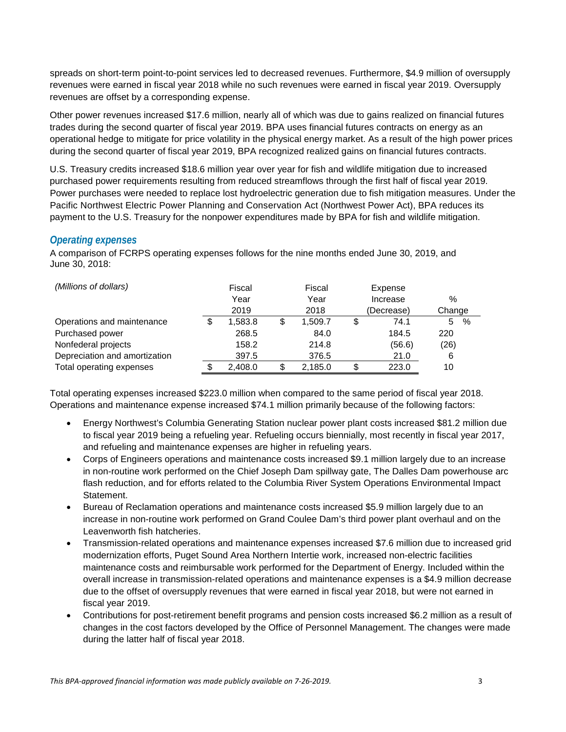spreads on short-term point-to-point services led to decreased revenues. Furthermore, \$4.9 million of oversupply revenues were earned in fiscal year 2018 while no such revenues were earned in fiscal year 2019. Oversupply revenues are offset by a corresponding expense.

Other power revenues increased \$17.6 million, nearly all of which was due to gains realized on financial futures trades during the second quarter of fiscal year 2019. BPA uses financial futures contracts on energy as an operational hedge to mitigate for price volatility in the physical energy market. As a result of the high power prices during the second quarter of fiscal year 2019, BPA recognized realized gains on financial futures contracts.

U.S. Treasury credits increased \$18.6 million year over year for fish and wildlife mitigation due to increased purchased power requirements resulting from reduced streamflows through the first half of fiscal year 2019. Power purchases were needed to replace lost hydroelectric generation due to fish mitigation measures. Under the Pacific Northwest Electric Power Planning and Conservation Act (Northwest Power Act), BPA reduces its payment to the U.S. Treasury for the nonpower expenditures made by BPA for fish and wildlife mitigation.

#### *Operating expenses*

A comparison of FCRPS operating expenses follows for the nine months ended June 30, 2019, and June 30, 2018:

| (Millions of dollars)         | Fiscal |         | Fiscal        |  | Expense    |            |  |
|-------------------------------|--------|---------|---------------|--|------------|------------|--|
|                               | Year   |         | Year          |  | Increase   | $\%$       |  |
|                               |        | 2019    | 2018          |  | (Decrease) | Change     |  |
| Operations and maintenance    |        | 1.583.8 | \$<br>1,509.7 |  | 74.1       | $\%$<br>5. |  |
| Purchased power               |        | 268.5   | 84.0          |  | 184.5      | 220        |  |
| Nonfederal projects           |        | 158.2   | 214.8         |  | (56.6)     | (26)       |  |
| Depreciation and amortization |        | 397.5   | 376.5         |  | 21.0       | 6          |  |
| Total operating expenses      |        | 2,408.0 | \$<br>2,185.0 |  | 223.0      | 10         |  |

Total operating expenses increased \$223.0 million when compared to the same period of fiscal year 2018. Operations and maintenance expense increased \$74.1 million primarily because of the following factors:

- Energy Northwest's Columbia Generating Station nuclear power plant costs increased \$81.2 million due to fiscal year 2019 being a refueling year. Refueling occurs biennially, most recently in fiscal year 2017, and refueling and maintenance expenses are higher in refueling years.
- Corps of Engineers operations and maintenance costs increased \$9.1 million largely due to an increase in non-routine work performed on the Chief Joseph Dam spillway gate, The Dalles Dam powerhouse arc flash reduction, and for efforts related to the Columbia River System Operations Environmental Impact Statement.
- Bureau of Reclamation operations and maintenance costs increased \$5.9 million largely due to an increase in non-routine work performed on Grand Coulee Dam's third power plant overhaul and on the Leavenworth fish hatcheries.
- Transmission-related operations and maintenance expenses increased \$7.6 million due to increased grid modernization efforts, Puget Sound Area Northern Intertie work, increased non-electric facilities maintenance costs and reimbursable work performed for the Department of Energy. Included within the overall increase in transmission-related operations and maintenance expenses is a \$4.9 million decrease due to the offset of oversupply revenues that were earned in fiscal year 2018, but were not earned in fiscal year 2019.
- Contributions for post-retirement benefit programs and pension costs increased \$6.2 million as a result of changes in the cost factors developed by the Office of Personnel Management. The changes were made during the latter half of fiscal year 2018.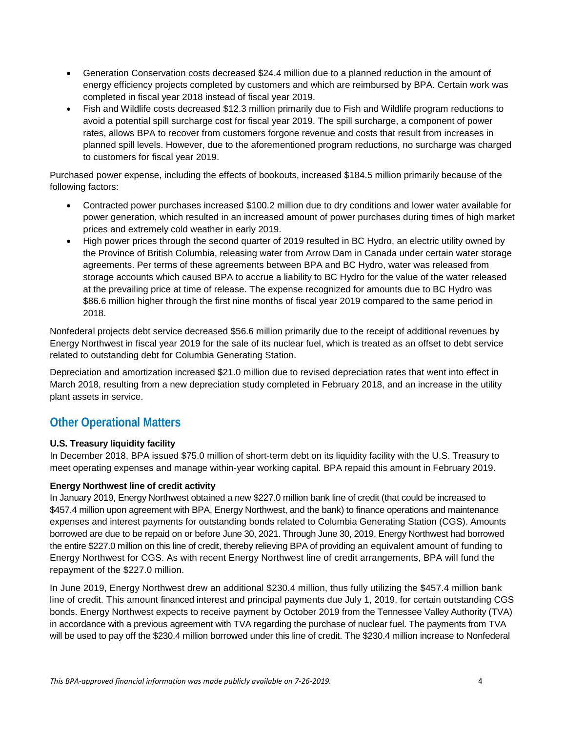- Generation Conservation costs decreased \$24.4 million due to a planned reduction in the amount of energy efficiency projects completed by customers and which are reimbursed by BPA. Certain work was completed in fiscal year 2018 instead of fiscal year 2019.
- Fish and Wildlife costs decreased \$12.3 million primarily due to Fish and Wildlife program reductions to avoid a potential spill surcharge cost for fiscal year 2019. The spill surcharge, a component of power rates, allows BPA to recover from customers forgone revenue and costs that result from increases in planned spill levels. However, due to the aforementioned program reductions, no surcharge was charged to customers for fiscal year 2019.

Purchased power expense, including the effects of bookouts, increased \$184.5 million primarily because of the following factors:

- Contracted power purchases increased \$100.2 million due to dry conditions and lower water available for power generation, which resulted in an increased amount of power purchases during times of high market prices and extremely cold weather in early 2019.
- High power prices through the second quarter of 2019 resulted in BC Hydro, an electric utility owned by the Province of British Columbia, releasing water from Arrow Dam in Canada under certain water storage agreements. Per terms of these agreements between BPA and BC Hydro, water was released from storage accounts which caused BPA to accrue a liability to BC Hydro for the value of the water released at the prevailing price at time of release. The expense recognized for amounts due to BC Hydro was \$86.6 million higher through the first nine months of fiscal year 2019 compared to the same period in 2018.

Nonfederal projects debt service decreased \$56.6 million primarily due to the receipt of additional revenues by Energy Northwest in fiscal year 2019 for the sale of its nuclear fuel, which is treated as an offset to debt service related to outstanding debt for Columbia Generating Station.

Depreciation and amortization increased \$21.0 million due to revised depreciation rates that went into effect in March 2018, resulting from a new depreciation study completed in February 2018, and an increase in the utility plant assets in service.

### **Other Operational Matters**

#### **U.S. Treasury liquidity facility**

In December 2018, BPA issued \$75.0 million of short-term debt on its liquidity facility with the U.S. Treasury to meet operating expenses and manage within-year working capital. BPA repaid this amount in February 2019.

#### **Energy Northwest line of credit activity**

In January 2019, Energy Northwest obtained a new \$227.0 million bank line of credit (that could be increased to \$457.4 million upon agreement with BPA, Energy Northwest, and the bank) to finance operations and maintenance expenses and interest payments for outstanding bonds related to Columbia Generating Station (CGS). Amounts borrowed are due to be repaid on or before June 30, 2021. Through June 30, 2019, Energy Northwest had borrowed the entire \$227.0 million on this line of credit, thereby relieving BPA of providing an equivalent amount of funding to Energy Northwest for CGS. As with recent Energy Northwest line of credit arrangements, BPA will fund the repayment of the \$227.0 million.

In June 2019, Energy Northwest drew an additional \$230.4 million, thus fully utilizing the \$457.4 million bank line of credit. This amount financed interest and principal payments due July 1, 2019, for certain outstanding CGS bonds. Energy Northwest expects to receive payment by October 2019 from the Tennessee Valley Authority (TVA) in accordance with a previous agreement with TVA regarding the purchase of nuclear fuel. The payments from TVA will be used to pay off the \$230.4 million borrowed under this line of credit. The \$230.4 million increase to Nonfederal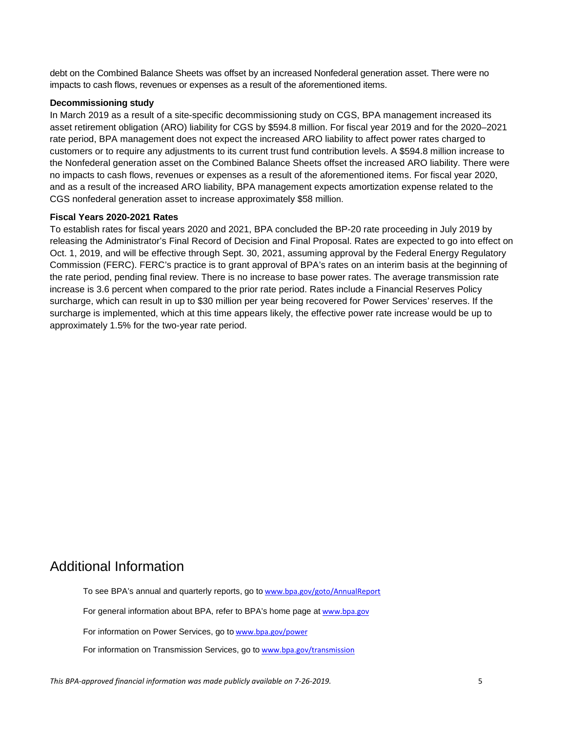debt on the Combined Balance Sheets was offset by an increased Nonfederal generation asset. There were no impacts to cash flows, revenues or expenses as a result of the aforementioned items.

#### **Decommissioning study**

In March 2019 as a result of a site-specific decommissioning study on CGS, BPA management increased its asset retirement obligation (ARO) liability for CGS by \$594.8 million. For fiscal year 2019 and for the 2020–2021 rate period, BPA management does not expect the increased ARO liability to affect power rates charged to customers or to require any adjustments to its current trust fund contribution levels. A \$594.8 million increase to the Nonfederal generation asset on the Combined Balance Sheets offset the increased ARO liability. There were no impacts to cash flows, revenues or expenses as a result of the aforementioned items. For fiscal year 2020, and as a result of the increased ARO liability, BPA management expects amortization expense related to the CGS nonfederal generation asset to increase approximately \$58 million.

#### **Fiscal Years 2020-2021 Rates**

To establish rates for fiscal years 2020 and 2021, BPA concluded the BP-20 rate proceeding in July 2019 by releasing the Administrator's Final Record of Decision and Final Proposal. Rates are expected to go into effect on Oct. 1, 2019, and will be effective through Sept. 30, 2021, assuming approval by the Federal Energy Regulatory Commission (FERC). FERC's practice is to grant approval of BPA's rates on an interim basis at the beginning of the rate period, pending final review. There is no increase to base power rates. The average transmission rate increase is 3.6 percent when compared to the prior rate period. Rates include a Financial Reserves Policy surcharge, which can result in up to \$30 million per year being recovered for Power Services' reserves. If the surcharge is implemented, which at this time appears likely, the effective power rate increase would be up to approximately 1.5% for the two-year rate period.

### Additional Information

To see BPA's annual and quarterly reports, go to [www.bpa.gov/goto/AnnualReport](http://www.bpa.gov/goto/AnnualReport) For general information about BPA, refer to BPA's home page at [www.bpa.gov](http://www.bpa.gov/) For information on Power Services, go to [www.bpa.gov/power](http://www.bpa.gov/power) For information on Transmission Services, go to [www.bpa.gov/transmission](http://www.bpa.gov/transmission)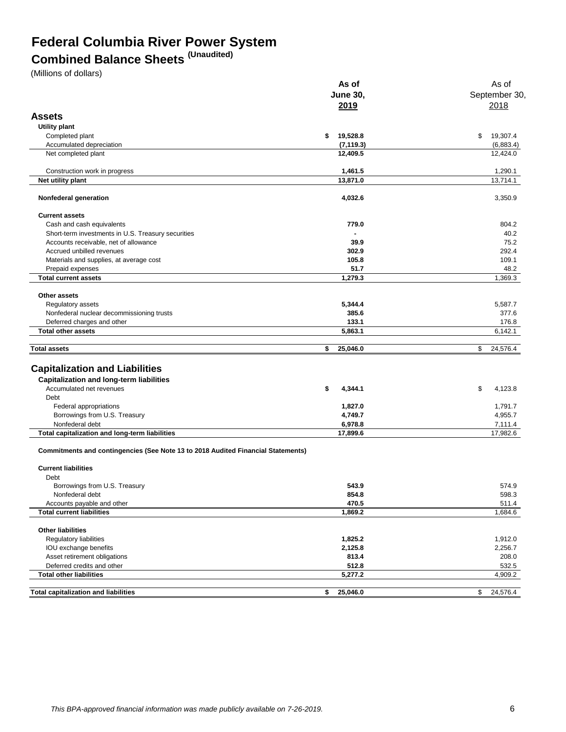### **Federal Columbia River Power System**

## **Combined Balance Sheets (Unaudited)**

(Millions of dollars)

|                                                                                  | As of           | As of          |
|----------------------------------------------------------------------------------|-----------------|----------------|
|                                                                                  | <b>June 30,</b> | September 30,  |
|                                                                                  | 2019            | 2018           |
|                                                                                  |                 |                |
| <b>Assets</b>                                                                    |                 |                |
| Utility plant                                                                    |                 |                |
| Completed plant                                                                  | 19,528.8<br>\$  | \$<br>19,307.4 |
| Accumulated depreciation                                                         | (7, 119.3)      | (6,883.4)      |
| Net completed plant                                                              | 12,409.5        | 12,424.0       |
| Construction work in progress                                                    | 1,461.5         | 1,290.1        |
| Net utility plant                                                                | 13,871.0        | 13,714.1       |
| Nonfederal generation                                                            | 4,032.6         | 3,350.9        |
| <b>Current assets</b>                                                            |                 |                |
| Cash and cash equivalents                                                        | 779.0           | 804.2          |
| Short-term investments in U.S. Treasury securities                               | ä,              | 40.2           |
| Accounts receivable, net of allowance                                            | 39.9            | 75.2           |
| Accrued unbilled revenues                                                        | 302.9           | 292.4          |
| Materials and supplies, at average cost                                          | 105.8           | 109.1          |
| Prepaid expenses                                                                 | 51.7            | 48.2           |
| <b>Total current assets</b>                                                      | 1,279.3         | 1,369.3        |
|                                                                                  |                 |                |
| Other assets                                                                     |                 |                |
| Regulatory assets                                                                | 5,344.4         | 5,587.7        |
| Nonfederal nuclear decommissioning trusts                                        | 385.6           | 377.6          |
| Deferred charges and other                                                       | 133.1           | 176.8          |
| <b>Total other assets</b>                                                        | 5,863.1         | 6,142.1        |
| <b>Total assets</b>                                                              | 25,046.0<br>\$  | \$<br>24,576.4 |
| <b>Capitalization and Liabilities</b>                                            |                 |                |
| <b>Capitalization and long-term liabilities</b>                                  |                 |                |
| Accumulated net revenues                                                         | 4,344.1<br>\$   | \$<br>4,123.8  |
| Debt                                                                             |                 |                |
| Federal appropriations                                                           | 1,827.0         | 1,791.7        |
| Borrowings from U.S. Treasury                                                    | 4,749.7         | 4,955.7        |
| Nonfederal debt                                                                  | 6,978.8         | 7,111.4        |
| Total capitalization and long-term liabilities                                   | 17,899.6        | 17,982.6       |
| Commitments and contingencies (See Note 13 to 2018 Audited Financial Statements) |                 |                |
| <b>Current liabilities</b>                                                       |                 |                |
| Debt                                                                             |                 |                |
| Borrowings from U.S. Treasury                                                    | 543.9           | 574.9          |
| Nonfederal debt                                                                  | 854.8           | 598.3          |
| Accounts payable and other                                                       | 470.5           | 511.4          |
| <b>Total current liabilities</b>                                                 | 1,869.2         | 1,684.6        |
|                                                                                  |                 |                |
| <b>Other liabilities</b>                                                         |                 |                |
| Regulatory liabilities                                                           | 1,825.2         | 1,912.0        |
| IOU exchange benefits                                                            | 2,125.8         | 2,256.7        |
| Asset retirement obligations                                                     | 813.4           | 208.0          |
| Deferred credits and other                                                       | 512.8           | 532.5          |
| <b>Total other liabilities</b>                                                   | 5,277.2         | 4,909.2        |
| <b>Total capitalization and liabilities</b>                                      | \$<br>25,046.0  | 24,576.4<br>\$ |
|                                                                                  |                 |                |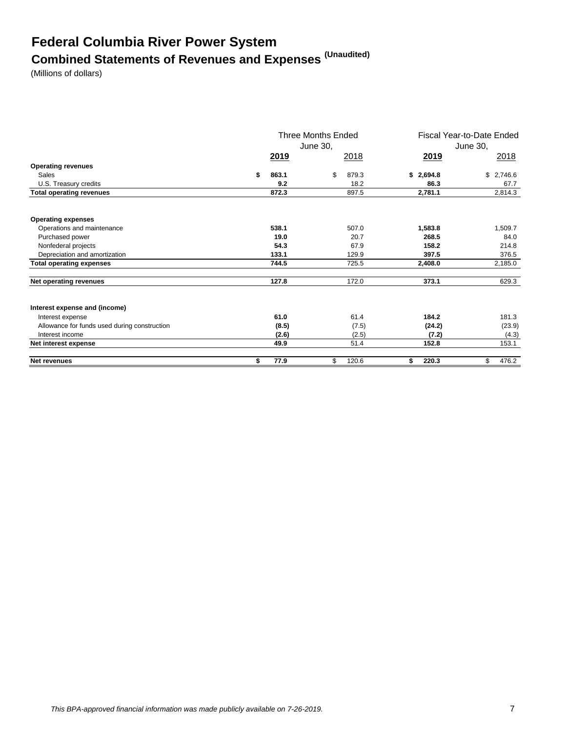# **Federal Columbia River Power System Combined Statements of Revenues and Expenses (Unaudited)**

(Millions of dollars)

|                                              | <b>Three Months Ended</b><br>June 30, |       |    | Fiscal Year-to-Date Ended<br>June 30, |    |           |               |
|----------------------------------------------|---------------------------------------|-------|----|---------------------------------------|----|-----------|---------------|
|                                              |                                       | 2019  |    | 2018                                  |    | 2019      | <u> 2018 </u> |
| <b>Operating revenues</b>                    |                                       |       |    |                                       |    |           |               |
| Sales                                        | \$                                    | 863.1 | \$ | 879.3                                 |    | \$2,694.8 | \$2,746.6     |
| U.S. Treasury credits                        |                                       | 9.2   |    | 18.2                                  |    | 86.3      | 67.7          |
| <b>Total operating revenues</b>              |                                       | 872.3 |    | 897.5                                 |    | 2,781.1   | 2,814.3       |
| <b>Operating expenses</b>                    |                                       |       |    |                                       |    |           |               |
| Operations and maintenance                   |                                       | 538.1 |    | 507.0                                 |    | 1,583.8   | 1,509.7       |
| Purchased power                              |                                       | 19.0  |    | 20.7                                  |    | 268.5     | 84.0          |
| Nonfederal projects                          |                                       | 54.3  |    | 67.9                                  |    | 158.2     | 214.8         |
| Depreciation and amortization                |                                       | 133.1 |    | 129.9                                 |    | 397.5     | 376.5         |
| <b>Total operating expenses</b>              |                                       | 744.5 |    | 725.5                                 |    | 2,408.0   | 2,185.0       |
| Net operating revenues                       |                                       | 127.8 |    | 172.0                                 |    | 373.1     | 629.3         |
| Interest expense and (income)                |                                       |       |    |                                       |    |           |               |
| Interest expense                             |                                       | 61.0  |    | 61.4                                  |    | 184.2     | 181.3         |
| Allowance for funds used during construction |                                       | (8.5) |    | (7.5)                                 |    | (24.2)    | (23.9)        |
| Interest income                              |                                       | (2.6) |    | (2.5)                                 |    | (7.2)     | (4.3)         |
| Net interest expense                         |                                       | 49.9  |    | 51.4                                  |    | 152.8     | 153.1         |
| <b>Net revenues</b>                          | \$                                    | 77.9  | \$ | 120.6                                 | S. | 220.3     | \$<br>476.2   |